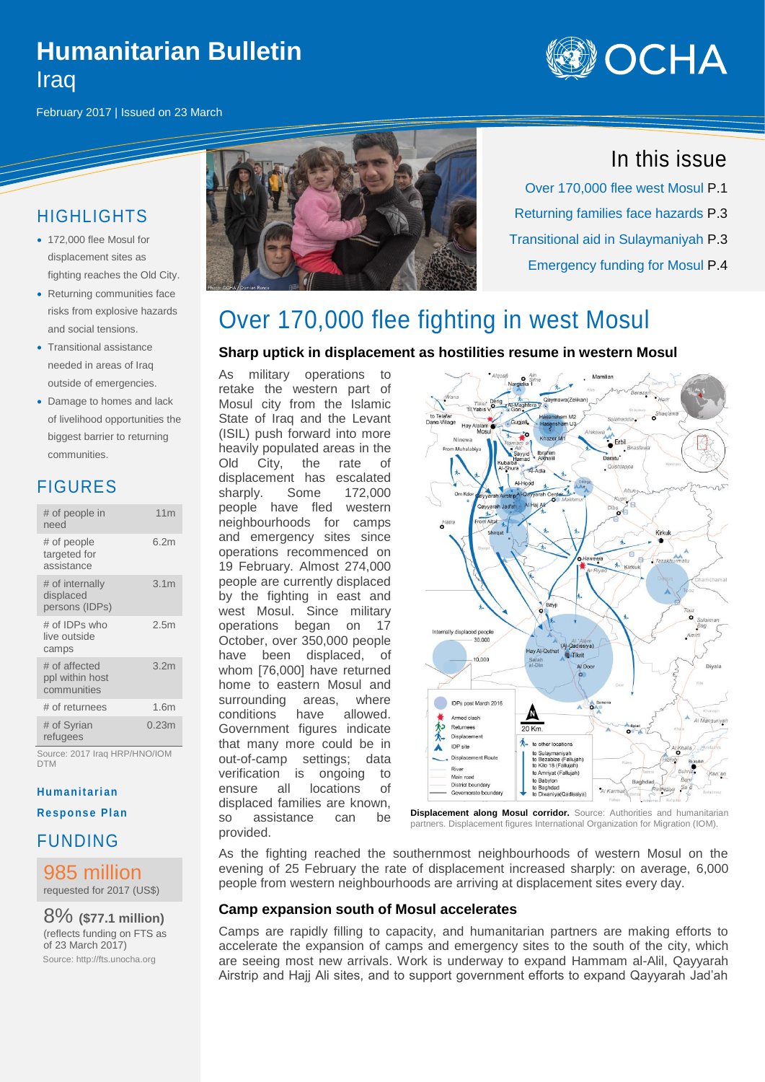# **Humanitarian Bulletin Iraq**



February 2017 | Issued on 23 March

### HIGHLIGHTS

- 172,000 flee Mosul for displacement sites as fighting reaches the Old City.
- Returning communities face risks from explosive hazards and social tensions.
- Transitional assistance needed in areas of Iraq outside of emergencies.
- Damage to homes and lack of livelihood opportunities the biggest barrier to returning communities.

### FIGURES

| # of people in<br>need                          | 11 <sub>m</sub>  |
|-------------------------------------------------|------------------|
| # of people<br>targeted for<br>assistance       | 6.2m             |
| # of internally<br>displaced<br>persons (IDPs)  | 3.1 <sub>m</sub> |
| # of IDPs who<br>live outside<br>camps          | 2.5 <sub>m</sub> |
| # of affected<br>ppl within host<br>communities | 3.2 <sub>m</sub> |
| # of returnees                                  | 1.6m             |
| # of Syrian<br>refugees                         | 0.23m            |

Source: 2017 Iraq HRP/HNO/IOM DTM

#### **Humanitari an**

**Response Plan** 

FUNDING

### 985 million

requested for 2017 (US\$)

8% **(\$77.1 million)** (reflects funding on FTS as of 23 March 2017) Source: http://fts.unocha.org



## In this issue

Over 170,000 flee west Mosul P.1 Returning families face hazards P.3 Transitional aid in Sulaymaniyah P.3 Emergency funding for Mosul P.4

## Over 170,000 flee fighting in west Mosul

### **Sharp uptick in displacement as hostilities resume in western Mosul**

As military operations to retake the western part of Mosul city from the Islamic State of Iraq and the Levant (ISIL) push forward into more heavily populated areas in the Old City, the rate of displacement has escalated sharply. Some 172,000 people have fled western neighbourhoods for camps and emergency sites since operations recommenced on 19 February. Almost 274,000 people are currently displaced by the fighting in east and west Mosul. Since military operations began on 17 October, over 350,000 people have been displaced, of whom [76,000] have returned home to eastern Mosul and surrounding areas, where conditions have allowed. Government figures indicate that many more could be in out-of-camp settings; data verification is ongoing to ensure all locations of displaced families are known, so assistance can be provided.



**Displacement along Mosul corridor.** Source: Authorities and humanitarian partners. Displacement figures International Organization for Migration (IOM).

As the fighting reached the southernmost neighbourhoods of western Mosul on the evening of 25 February the rate of displacement increased sharply: on average, 6,000 people from western neighbourhoods are arriving at displacement sites every day.

### **Camp expansion south of Mosul accelerates**

Camps are rapidly filling to capacity, and humanitarian partners are making efforts to accelerate the expansion of camps and emergency sites to the south of the city, which are seeing most new arrivals. Work is underway to expand Hammam al-Alil, Qayyarah Airstrip and Hajj Ali sites, and to support government efforts to expand Qayyarah Jad'ah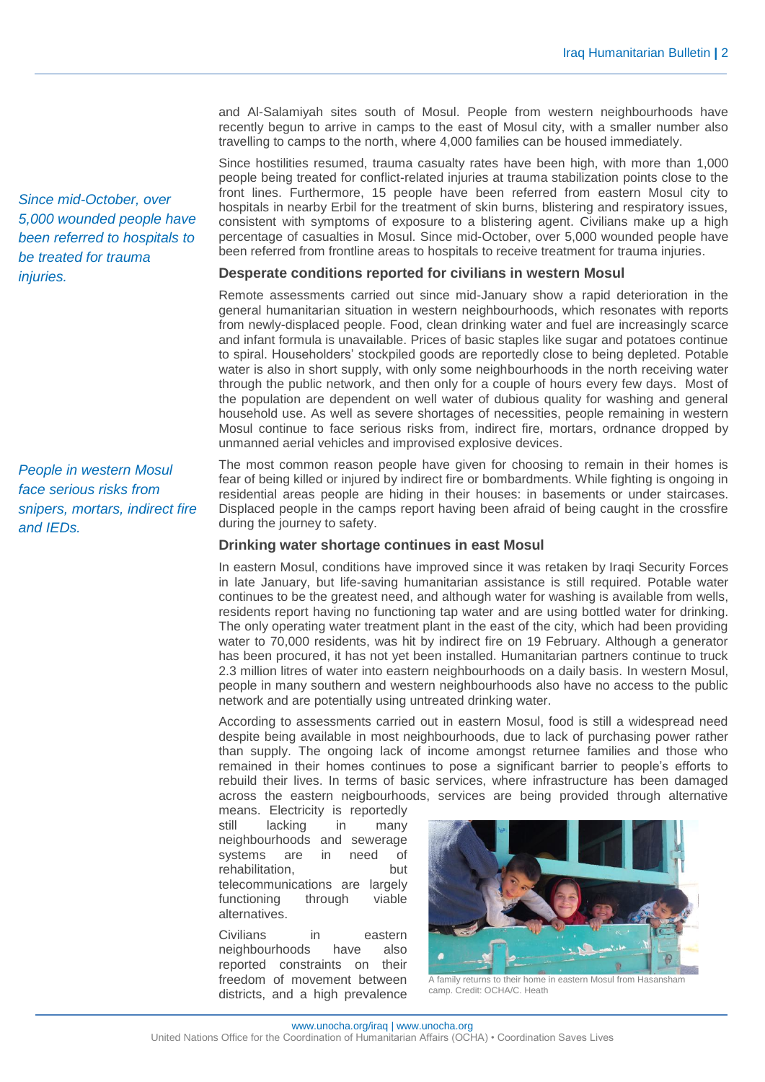and Al-Salamiyah sites south of Mosul. People from western neighbourhoods have recently begun to arrive in camps to the east of Mosul city, with a smaller number also travelling to camps to the north, where 4,000 families can be housed immediately.

Since hostilities resumed, trauma casualty rates have been high, with more than 1,000 people being treated for conflict-related injuries at trauma stabilization points close to the front lines. Furthermore, 15 people have been referred from eastern Mosul city to hospitals in nearby Erbil for the treatment of skin burns, blistering and respiratory issues, consistent with symptoms of exposure to a blistering agent. Civilians make up a high percentage of casualties in Mosul. Since mid-October, over 5,000 wounded people have been referred from frontline areas to hospitals to receive treatment for trauma injuries.

#### **Desperate conditions reported for civilians in western Mosul**

Remote assessments carried out since mid-January show a rapid deterioration in the general humanitarian situation in western neighbourhoods, which resonates with reports from newly-displaced people. Food, clean drinking water and fuel are increasingly scarce and infant formula is unavailable. Prices of basic staples like sugar and potatoes continue to spiral. Householders' stockpiled goods are reportedly close to being depleted. Potable water is also in short supply, with only some neighbourhoods in the north receiving water through the public network, and then only for a couple of hours every few days. Most of the population are dependent on well water of dubious quality for washing and general household use. As well as severe shortages of necessities, people remaining in western Mosul continue to face serious risks from, indirect fire, mortars, ordnance dropped by unmanned aerial vehicles and improvised explosive devices.

The most common reason people have given for choosing to remain in their homes is fear of being killed or injured by indirect fire or bombardments. While fighting is ongoing in residential areas people are hiding in their houses: in basements or under staircases. Displaced people in the camps report having been afraid of being caught in the crossfire during the journey to safety.

#### **Drinking water shortage continues in east Mosul**

In eastern Mosul, conditions have improved since it was retaken by Iraqi Security Forces in late January, but life-saving humanitarian assistance is still required. Potable water continues to be the greatest need, and although water for washing is available from wells, residents report having no functioning tap water and are using bottled water for drinking. The only operating water treatment plant in the east of the city, which had been providing water to 70,000 residents, was hit by indirect fire on 19 February. Although a generator has been procured, it has not yet been installed. Humanitarian partners continue to truck 2.3 million litres of water into eastern neighbourhoods on a daily basis. In western Mosul, people in many southern and western neighbourhoods also have no access to the public network and are potentially using untreated drinking water.

According to assessments carried out in eastern Mosul, food is still a widespread need despite being available in most neighbourhoods, due to lack of purchasing power rather than supply. The ongoing lack of income amongst returnee families and those who remained in their homes continues to pose a significant barrier to people's efforts to rebuild their lives. In terms of basic services, where infrastructure has been damaged across the eastern neigbourhoods, services are being provided through alternative

means. Electricity is reportedly still lacking in many neighbourhoods and sewerage systems are in need of rehabilitation. but telecommunications are largely functioning through viable alternatives.

Civilians in eastern neighbourhoods have also reported constraints on their freedom of movement between districts, and a high prevalence



A family returns to their home in eastern Mosul from Hasansham camp. Credit: OCHA/C. Heath

*Since mid-October, over 5,000 wounded people have been referred to hospitals to be treated for trauma injuries.*

*People in western Mosul face serious risks from snipers, mortars, indirect fire and IEDs.*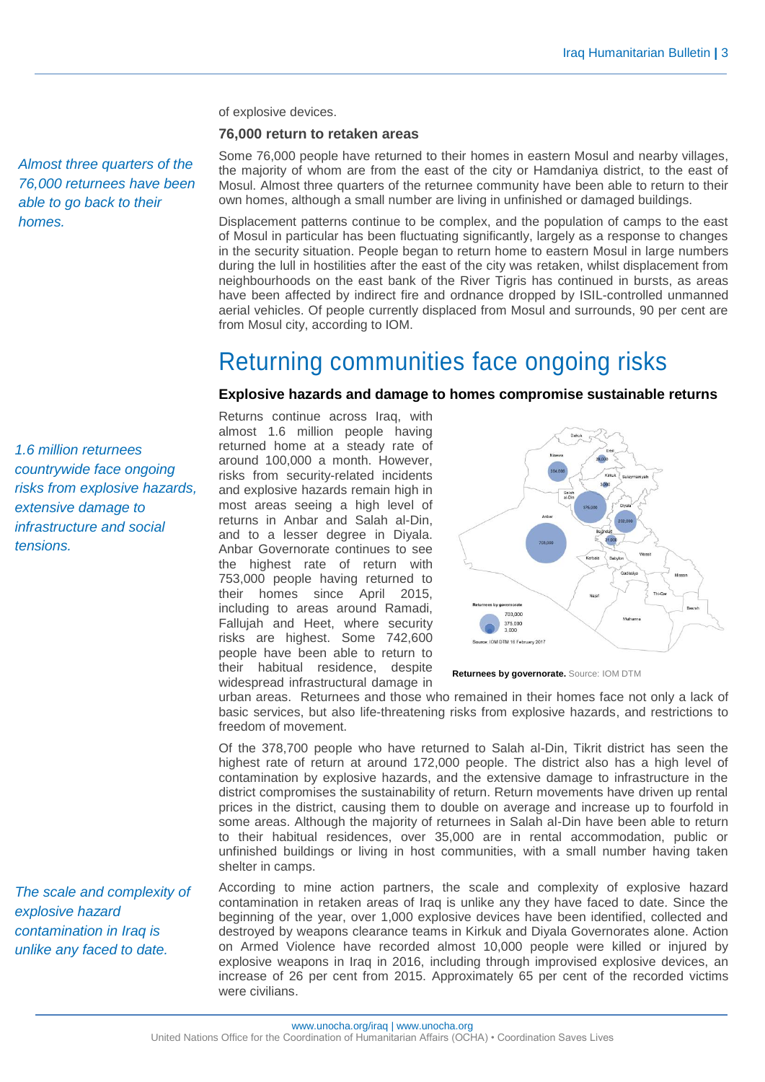of explosive devices.

#### **76,000 return to retaken areas**

*Almost three quarters of the 76,000 returnees have been able to go back to their homes.*

Some 76,000 people have returned to their homes in eastern Mosul and nearby villages, the majority of whom are from the east of the city or Hamdaniya district, to the east of Mosul. Almost three quarters of the returnee community have been able to return to their own homes, although a small number are living in unfinished or damaged buildings.

Displacement patterns continue to be complex, and the population of camps to the east of Mosul in particular has been fluctuating significantly, largely as a response to changes in the security situation. People began to return home to eastern Mosul in large numbers during the lull in hostilities after the east of the city was retaken, whilst displacement from neighbourhoods on the east bank of the River Tigris has continued in bursts, as areas have been affected by indirect fire and ordnance dropped by ISIL-controlled unmanned aerial vehicles. Of people currently displaced from Mosul and surrounds, 90 per cent are from Mosul city, according to IOM.

## Returning communities face ongoing risks

#### **Explosive hazards and damage to homes compromise sustainable returns**

*1.6 million returnees countrywide face ongoing risks from explosive hazards, extensive damage to infrastructure and social tensions.*

*The scale and complexity of explosive hazard contamination in Iraq is unlike any faced to date.*

Returns continue across Iraq, with almost 1.6 million people having returned home at a steady rate of around 100,000 a month. However, risks from security-related incidents and explosive hazards remain high in most areas seeing a high level of returns in Anbar and Salah al-Din, and to a lesser degree in Diyala. Anbar Governorate continues to see the highest rate of return with 753,000 people having returned to their homes since April 2015, including to areas around Ramadi, Fallujah and Heet, where security risks are highest. Some 742,600 people have been able to return to their habitual residence, despite widespread infrastructural damage in



**Returnees by governorate.** Source: IOM DTM

urban areas. Returnees and those who remained in their homes face not only a lack of basic services, but also life-threatening risks from explosive hazards, and restrictions to freedom of movement.

Of the 378,700 people who have returned to Salah al-Din, Tikrit district has seen the highest rate of return at around 172,000 people. The district also has a high level of contamination by explosive hazards, and the extensive damage to infrastructure in the district compromises the sustainability of return. Return movements have driven up rental prices in the district, causing them to double on average and increase up to fourfold in some areas. Although the majority of returnees in Salah al-Din have been able to return to their habitual residences, over 35,000 are in rental accommodation, public or unfinished buildings or living in host communities, with a small number having taken shelter in camps.

According to mine action partners, the scale and complexity of explosive hazard contamination in retaken areas of Iraq is unlike any they have faced to date. Since the beginning of the year, over 1,000 explosive devices have been identified, collected and destroyed by weapons clearance teams in Kirkuk and Diyala Governorates alone. Action on Armed Violence have recorded almost 10,000 people were killed or injured by explosive weapons in Iraq in 2016, including through improvised explosive devices, an increase of 26 per cent from 2015. Approximately 65 per cent of the recorded victims were civilians.